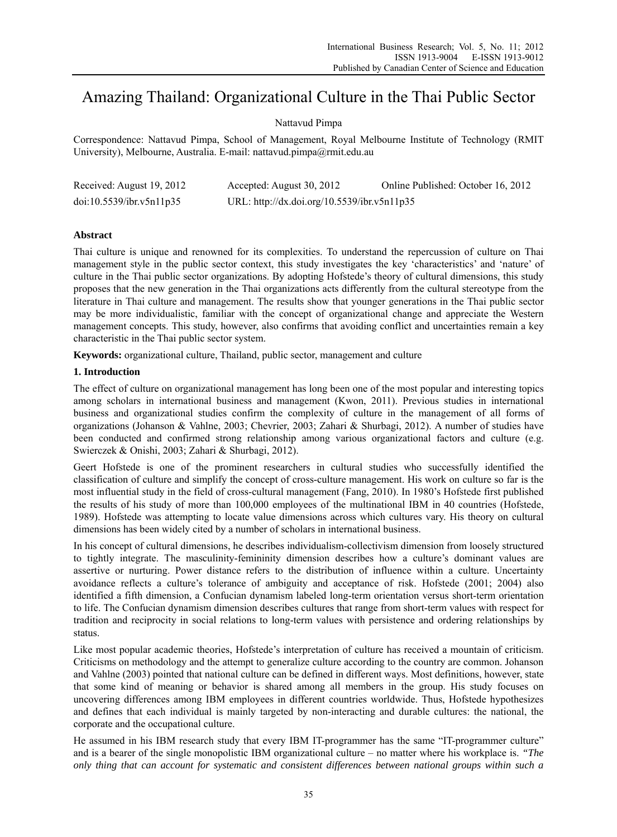# Amazing Thailand: Organizational Culture in the Thai Public Sector

# Nattavud Pimpa

Correspondence: Nattavud Pimpa, School of Management, Royal Melbourne Institute of Technology (RMIT University), Melbourne, Australia. E-mail: nattavud.pimpa@rmit.edu.au

| Received: August 19, 2012 | Accepted: August 30, 2012                   | Online Published: October 16, 2012 |
|---------------------------|---------------------------------------------|------------------------------------|
| doi:10.5539/ibr.v5n11p35  | URL: http://dx.doi.org/10.5539/ibr.v5n11p35 |                                    |

# **Abstract**

Thai culture is unique and renowned for its complexities. To understand the repercussion of culture on Thai management style in the public sector context, this study investigates the key 'characteristics' and 'nature' of culture in the Thai public sector organizations. By adopting Hofstede's theory of cultural dimensions, this study proposes that the new generation in the Thai organizations acts differently from the cultural stereotype from the literature in Thai culture and management. The results show that younger generations in the Thai public sector may be more individualistic, familiar with the concept of organizational change and appreciate the Western management concepts. This study, however, also confirms that avoiding conflict and uncertainties remain a key characteristic in the Thai public sector system.

**Keywords:** organizational culture, Thailand, public sector, management and culture

## **1. Introduction**

The effect of culture on organizational management has long been one of the most popular and interesting topics among scholars in international business and management (Kwon, 2011). Previous studies in international business and organizational studies confirm the complexity of culture in the management of all forms of organizations (Johanson & Vahlne, 2003; Chevrier, 2003; Zahari & Shurbagi, 2012). A number of studies have been conducted and confirmed strong relationship among various organizational factors and culture (e.g. Swierczek & Onishi, 2003; Zahari & Shurbagi, 2012).

Geert Hofstede is one of the prominent researchers in cultural studies who successfully identified the classification of culture and simplify the concept of cross-culture management. His work on culture so far is the most influential study in the field of cross-cultural management (Fang, 2010). In 1980's Hofstede first published the results of his study of more than 100,000 employees of the multinational IBM in 40 countries (Hofstede, 1989). Hofstede was attempting to locate value dimensions across which cultures vary. His theory on cultural dimensions has been widely cited by a number of scholars in international business.

In his concept of cultural dimensions, he describes individualism-collectivism dimension from loosely structured to tightly integrate. The masculinity-femininity dimension describes how a culture's dominant values are assertive or nurturing. Power distance refers to the distribution of influence within a culture. Uncertainty avoidance reflects a culture's tolerance of ambiguity and acceptance of risk. Hofstede (2001; 2004) also identified a fifth dimension, a Confucian dynamism labeled long-term orientation versus short-term orientation to life. The Confucian dynamism dimension describes cultures that range from short-term values with respect for tradition and reciprocity in social relations to long-term values with persistence and ordering relationships by status.

Like most popular academic theories, Hofstede's interpretation of culture has received a mountain of criticism. Criticisms on methodology and the attempt to generalize culture according to the country are common. Johanson and Vahlne (2003) pointed that national culture can be defined in different ways. Most definitions, however, state that some kind of meaning or behavior is shared among all members in the group. His study focuses on uncovering differences among IBM employees in different countries worldwide. Thus, Hofstede hypothesizes and defines that each individual is mainly targeted by non-interacting and durable cultures: the national, the corporate and the occupational culture.

He assumed in his IBM research study that every IBM IT-programmer has the same "IT-programmer culture" and is a bearer of the single monopolistic IBM organizational culture – no matter where his workplace is. *"The only thing that can account for systematic and consistent differences between national groups within such a*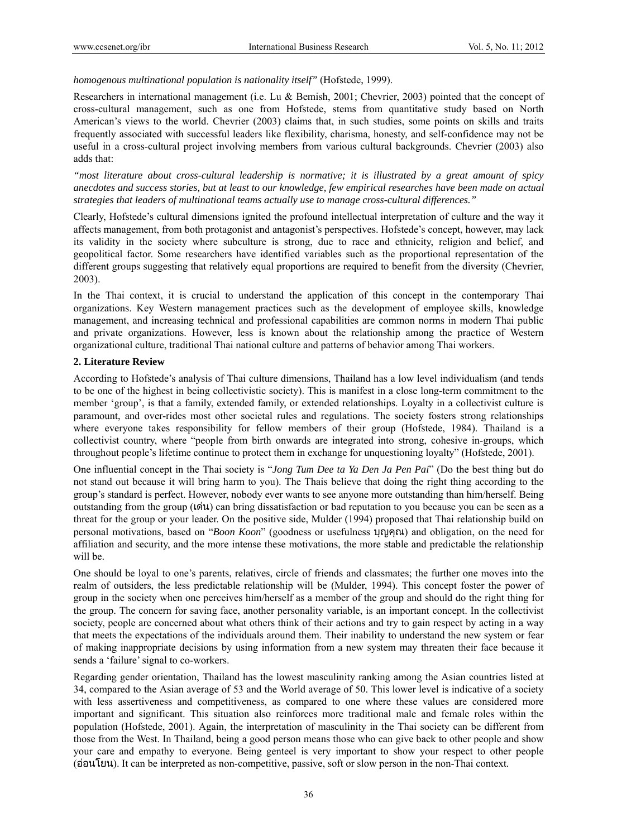*homogenous multinational population is nationality itself"* (Hofstede, 1999).

Researchers in international management (i.e. Lu & Bemish, 2001; Chevrier, 2003) pointed that the concept of cross-cultural management, such as one from Hofstede, stems from quantitative study based on North American's views to the world. Chevrier (2003) claims that, in such studies, some points on skills and traits frequently associated with successful leaders like flexibility, charisma, honesty, and self-confidence may not be useful in a cross-cultural project involving members from various cultural backgrounds. Chevrier (2003) also adds that:

*"most literature about cross-cultural leadership is normative; it is illustrated by a great amount of spicy anecdotes and success stories, but at least to our knowledge, few empirical researches have been made on actual strategies that leaders of multinational teams actually use to manage cross-cultural differences."* 

Clearly, Hofstede's cultural dimensions ignited the profound intellectual interpretation of culture and the way it affects management, from both protagonist and antagonist's perspectives. Hofstede's concept, however, may lack its validity in the society where subculture is strong, due to race and ethnicity, religion and belief, and geopolitical factor. Some researchers have identified variables such as the proportional representation of the different groups suggesting that relatively equal proportions are required to benefit from the diversity (Chevrier, 2003).

In the Thai context, it is crucial to understand the application of this concept in the contemporary Thai organizations. Key Western management practices such as the development of employee skills, knowledge management, and increasing technical and professional capabilities are common norms in modern Thai public and private organizations. However, less is known about the relationship among the practice of Western organizational culture, traditional Thai national culture and patterns of behavior among Thai workers.

#### **2. Literature Review**

According to Hofstede's analysis of Thai culture dimensions, Thailand has a low level individualism (and tends to be one of the highest in being collectivistic society). This is manifest in a close long-term commitment to the member 'group', is that a family, extended family, or extended relationships. Loyalty in a collectivist culture is paramount, and over-rides most other societal rules and regulations. The society fosters strong relationships where everyone takes responsibility for fellow members of their group (Hofstede, 1984). Thailand is a collectivist country, where "people from birth onwards are integrated into strong, cohesive in-groups, which throughout people's lifetime continue to protect them in exchange for unquestioning loyalty" (Hofstede, 2001).

One influential concept in the Thai society is "*Jong Tum Dee ta Ya Den Ja Pen Pai*" (Do the best thing but do not stand out because it will bring harm to you). The Thais believe that doing the right thing according to the group's standard is perfect. However, nobody ever wants to see anyone more outstanding than him/herself. Being outstanding from the group (เดน) can bring dissatisfaction or bad reputation to you because you can be seen as a threat for the group or your leader. On the positive side, Mulder (1994) proposed that Thai relationship build on personal motivations, based on "*Boon Koon*" (goodness or usefulness บุญคุณ) and obligation, on the need for affiliation and security, and the more intense these motivations, the more stable and predictable the relationship will be.

One should be loyal to one's parents, relatives, circle of friends and classmates; the further one moves into the realm of outsiders, the less predictable relationship will be (Mulder, 1994). This concept foster the power of group in the society when one perceives him/herself as a member of the group and should do the right thing for the group. The concern for saving face, another personality variable, is an important concept. In the collectivist society, people are concerned about what others think of their actions and try to gain respect by acting in a way that meets the expectations of the individuals around them. Their inability to understand the new system or fear of making inappropriate decisions by using information from a new system may threaten their face because it sends a 'failure' signal to co-workers.

Regarding gender orientation, Thailand has the lowest masculinity ranking among the Asian countries listed at 34, compared to the Asian average of 53 and the World average of 50. This lower level is indicative of a society with less assertiveness and competitiveness, as compared to one where these values are considered more important and significant. This situation also reinforces more traditional male and female roles within the population (Hofstede, 2001). Again, the interpretation of masculinity in the Thai society can be different from those from the West. In Thailand, being a good person means those who can give back to other people and show your care and empathy to everyone. Being genteel is very important to show your respect to other people (ออนโยน). It can be interpreted as non-competitive, passive, soft or slow person in the non-Thai context.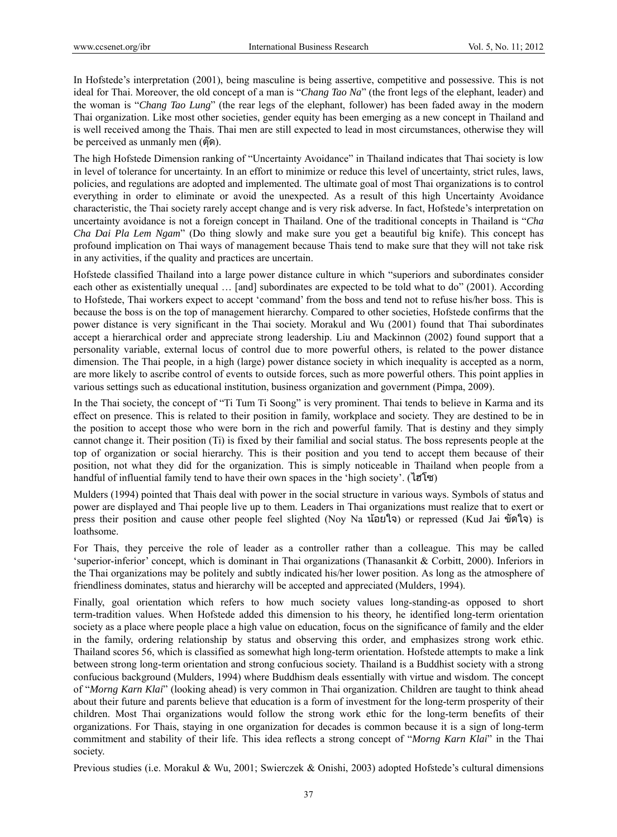In Hofstede's interpretation (2001), being masculine is being assertive, competitive and possessive. This is not ideal for Thai. Moreover, the old concept of a man is "*Chang Tao Na*" (the front legs of the elephant, leader) and the woman is "*Chang Tao Lung*" (the rear legs of the elephant, follower) has been faded away in the modern Thai organization. Like most other societies, gender equity has been emerging as a new concept in Thailand and is well received among the Thais. Thai men are still expected to lead in most circumstances, otherwise they will be perceived as unmanly men (ตุ๊ด).

The high Hofstede Dimension ranking of "Uncertainty Avoidance" in Thailand indicates that Thai society is low in level of tolerance for uncertainty. In an effort to minimize or reduce this level of uncertainty, strict rules, laws, policies, and regulations are adopted and implemented. The ultimate goal of most Thai organizations is to control everything in order to eliminate or avoid the unexpected. As a result of this high Uncertainty Avoidance characteristic, the Thai society rarely accept change and is very risk adverse. In fact, Hofstede's interpretation on uncertainty avoidance is not a foreign concept in Thailand. One of the traditional concepts in Thailand is "*Cha Cha Dai Pla Lem Ngam*" (Do thing slowly and make sure you get a beautiful big knife). This concept has profound implication on Thai ways of management because Thais tend to make sure that they will not take risk in any activities, if the quality and practices are uncertain.

Hofstede classified Thailand into a large power distance culture in which "superiors and subordinates consider each other as existentially unequal … [and] subordinates are expected to be told what to do" (2001). According to Hofstede, Thai workers expect to accept 'command' from the boss and tend not to refuse his/her boss. This is because the boss is on the top of management hierarchy. Compared to other societies, Hofstede confirms that the power distance is very significant in the Thai society. Morakul and Wu (2001) found that Thai subordinates accept a hierarchical order and appreciate strong leadership. Liu and Mackinnon (2002) found support that a personality variable, external locus of control due to more powerful others, is related to the power distance dimension. The Thai people, in a high (large) power distance society in which inequality is accepted as a norm, are more likely to ascribe control of events to outside forces, such as more powerful others. This point applies in various settings such as educational institution, business organization and government (Pimpa, 2009).

In the Thai society, the concept of "Ti Tum Ti Soong" is very prominent. Thai tends to believe in Karma and its effect on presence. This is related to their position in family, workplace and society. They are destined to be in the position to accept those who were born in the rich and powerful family. That is destiny and they simply cannot change it. Their position (Ti) is fixed by their familial and social status. The boss represents people at the top of organization or social hierarchy. This is their position and you tend to accept them because of their position, not what they did for the organization. This is simply noticeable in Thailand when people from a handful of influential family tend to have their own spaces in the 'high society'. (ไฮโซ)

Mulders (1994) pointed that Thais deal with power in the social structure in various ways. Symbols of status and power are displayed and Thai people live up to them. Leaders in Thai organizations must realize that to exert or press their position and cause other people feel slighted (Nov Na น้อยใจ) or repressed (Kud Jai ขัดใจ) is loathsome.

For Thais, they perceive the role of leader as a controller rather than a colleague. This may be called 'superior-inferior' concept, which is dominant in Thai organizations (Thanasankit & Corbitt, 2000). Inferiors in the Thai organizations may be politely and subtly indicated his/her lower position. As long as the atmosphere of friendliness dominates, status and hierarchy will be accepted and appreciated (Mulders, 1994).

Finally, goal orientation which refers to how much society values long-standing-as opposed to short term-tradition values. When Hofstede added this dimension to his theory, he identified long-term orientation society as a place where people place a high value on education, focus on the significance of family and the elder in the family, ordering relationship by status and observing this order, and emphasizes strong work ethic. Thailand scores 56, which is classified as somewhat high long-term orientation. Hofstede attempts to make a link between strong long-term orientation and strong confucious society. Thailand is a Buddhist society with a strong confucious background (Mulders, 1994) where Buddhism deals essentially with virtue and wisdom. The concept of "*Morng Karn Klai*" (looking ahead) is very common in Thai organization. Children are taught to think ahead about their future and parents believe that education is a form of investment for the long-term prosperity of their children. Most Thai organizations would follow the strong work ethic for the long-term benefits of their organizations. For Thais, staying in one organization for decades is common because it is a sign of long-term commitment and stability of their life. This idea reflects a strong concept of "*Morng Karn Klai*" in the Thai society.

Previous studies (i.e. Morakul & Wu, 2001; Swierczek & Onishi, 2003) adopted Hofstede's cultural dimensions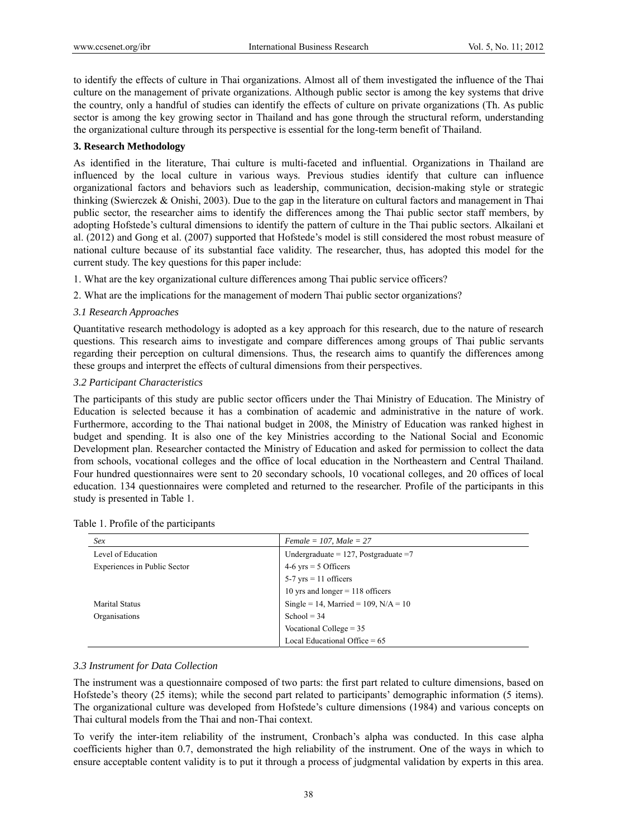to identify the effects of culture in Thai organizations. Almost all of them investigated the influence of the Thai culture on the management of private organizations. Although public sector is among the key systems that drive the country, only a handful of studies can identify the effects of culture on private organizations (Th. As public sector is among the key growing sector in Thailand and has gone through the structural reform, understanding the organizational culture through its perspective is essential for the long-term benefit of Thailand.

### **3. Research Methodology**

As identified in the literature, Thai culture is multi-faceted and influential. Organizations in Thailand are influenced by the local culture in various ways. Previous studies identify that culture can influence organizational factors and behaviors such as leadership, communication, decision-making style or strategic thinking (Swierczek & Onishi, 2003). Due to the gap in the literature on cultural factors and management in Thai public sector, the researcher aims to identify the differences among the Thai public sector staff members, by adopting Hofstede's cultural dimensions to identify the pattern of culture in the Thai public sectors. Alkailani et al. (2012) and Gong et al. (2007) supported that Hofstede's model is still considered the most robust measure of national culture because of its substantial face validity. The researcher, thus, has adopted this model for the current study. The key questions for this paper include:

- 1. What are the key organizational culture differences among Thai public service officers?
- 2. What are the implications for the management of modern Thai public sector organizations?

#### *3.1 Research Approaches*

Quantitative research methodology is adopted as a key approach for this research, due to the nature of research questions. This research aims to investigate and compare differences among groups of Thai public servants regarding their perception on cultural dimensions. Thus, the research aims to quantify the differences among these groups and interpret the effects of cultural dimensions from their perspectives.

### *3.2 Participant Characteristics*

The participants of this study are public sector officers under the Thai Ministry of Education. The Ministry of Education is selected because it has a combination of academic and administrative in the nature of work. Furthermore, according to the Thai national budget in 2008, the Ministry of Education was ranked highest in budget and spending. It is also one of the key Ministries according to the National Social and Economic Development plan. Researcher contacted the Ministry of Education and asked for permission to collect the data from schools, vocational colleges and the office of local education in the Northeastern and Central Thailand. Four hundred questionnaires were sent to 20 secondary schools, 10 vocational colleges, and 20 offices of local education. 134 questionnaires were completed and returned to the researcher. Profile of the participants in this study is presented in Table 1.

| Sex                          | Female = 107, Male = $27$                |
|------------------------------|------------------------------------------|
| Level of Education           | Undergraduate = $127$ , Postgraduate = 7 |
| Experiences in Public Sector | $4-6$ yrs = 5 Officers                   |
|                              | $5-7$ yrs = 11 officers                  |
|                              | 10 yrs and longer $=$ 118 officers       |
| <b>Marital Status</b>        | Single = 14, Married = 109, $N/A = 10$   |
| Organisations                | School = $34$                            |
|                              | Vocational College $= 35$                |
|                              | Local Educational Office = $65$          |

## *3.3 Instrument for Data Collection*

The instrument was a questionnaire composed of two parts: the first part related to culture dimensions, based on Hofstede's theory (25 items); while the second part related to participants' demographic information (5 items). The organizational culture was developed from Hofstede's culture dimensions (1984) and various concepts on Thai cultural models from the Thai and non-Thai context.

To verify the inter-item reliability of the instrument, Cronbach's alpha was conducted. In this case alpha coefficients higher than 0.7, demonstrated the high reliability of the instrument. One of the ways in which to ensure acceptable content validity is to put it through a process of judgmental validation by experts in this area.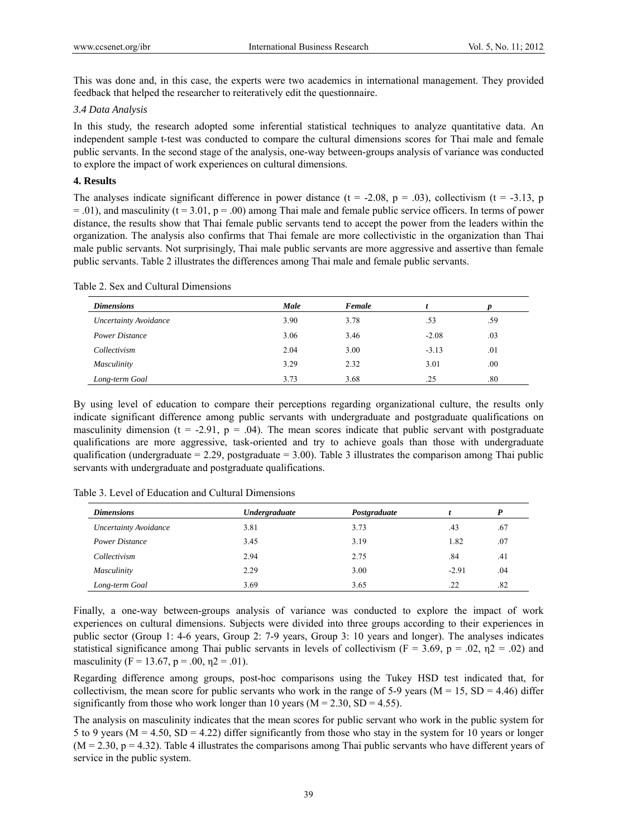This was done and, in this case, the experts were two academics in international management. They provided feedback that helped the researcher to reiteratively edit the questionnaire.

#### *3.4 Data Analysis*

In this study, the research adopted some inferential statistical techniques to analyze quantitative data. An independent sample t-test was conducted to compare the cultural dimensions scores for Thai male and female public servants. In the second stage of the analysis, one-way between-groups analysis of variance was conducted to explore the impact of work experiences on cultural dimensions.

#### **4. Results**

The analyses indicate significant difference in power distance ( $t = -2.08$ ,  $p = .03$ ), collectivism ( $t = -3.13$ , p  $=$  .01), and masculinity (t = 3.01, p = .00) among Thai male and female public service officers. In terms of power distance, the results show that Thai female public servants tend to accept the power from the leaders within the organization. The analysis also confirms that Thai female are more collectivistic in the organization than Thai male public servants. Not surprisingly, Thai male public servants are more aggressive and assertive than female public servants. Table 2 illustrates the differences among Thai male and female public servants.

|  |  | Table 2. Sex and Cultural Dimensions |
|--|--|--------------------------------------|
|  |  |                                      |

| <b>Dimensions</b>            | Male | Female |         |     |
|------------------------------|------|--------|---------|-----|
| <b>Uncertainty Avoidance</b> | 3.90 | 3.78   | .53     | .59 |
| Power Distance               | 3.06 | 3.46   | $-2.08$ | .03 |
| Collectivism                 | 2.04 | 3.00   | $-3.13$ | .01 |
| Masculinity                  | 3.29 | 2.32   | 3.01    | .00 |
| Long-term Goal               | 3.73 | 3.68   | .25     | .80 |

By using level of education to compare their perceptions regarding organizational culture, the results only indicate significant difference among public servants with undergraduate and postgraduate qualifications on masculinity dimension ( $t = -2.91$ ,  $p = .04$ ). The mean scores indicate that public servant with postgraduate qualifications are more aggressive, task-oriented and try to achieve goals than those with undergraduate qualification (undergraduate  $= 2.29$ , postgraduate  $= 3.00$ ). Table 3 illustrates the comparison among Thai public servants with undergraduate and postgraduate qualifications.

Table 3. Level of Education and Cultural Dimensions

| <b>Dimensions</b>            | <b>Undergraduate</b> | Postgraduate |         | P   |
|------------------------------|----------------------|--------------|---------|-----|
| <b>Uncertainty Avoidance</b> | 3.81                 | 3.73         | .43     | .67 |
| <b>Power Distance</b>        | 3.45                 | 3.19         | 1.82    | .07 |
| Collectivism                 | 2.94                 | 2.75         | .84     | .41 |
| Masculinity                  | 2.29                 | 3.00         | $-2.91$ | .04 |
| Long-term Goal               | 3.69                 | 3.65         | .22     | .82 |

Finally, a one-way between-groups analysis of variance was conducted to explore the impact of work experiences on cultural dimensions. Subjects were divided into three groups according to their experiences in public sector (Group 1: 4-6 years, Group 2: 7-9 years, Group 3: 10 years and longer). The analyses indicates statistical significance among Thai public servants in levels of collectivism ( $F = 3.69$ ,  $p = .02$ ,  $\eta$ 2 = .02) and masculinity (F = 13.67, p = .00,  $n2 = .01$ ).

Regarding difference among groups, post-hoc comparisons using the Tukey HSD test indicated that, for collectivism, the mean score for public servants who work in the range of 5-9 years ( $M = 15$ ,  $SD = 4.46$ ) differ significantly from those who work longer than 10 years ( $M = 2.30$ ,  $SD = 4.55$ ).

The analysis on masculinity indicates that the mean scores for public servant who work in the public system for 5 to 9 years ( $M = 4.50$ ,  $SD = 4.22$ ) differ significantly from those who stay in the system for 10 years or longer  $(M = 2.30, p = 4.32)$ . Table 4 illustrates the comparisons among Thai public servants who have different years of service in the public system.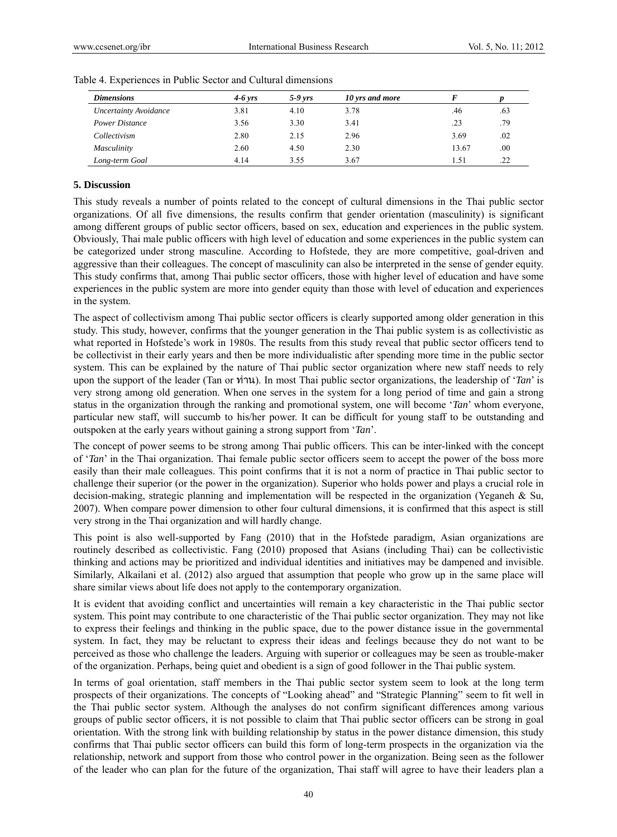| <b>Dimensions</b>            | $4-6$ vrs | $5-9$ yrs | 10 yrs and more |       |     |
|------------------------------|-----------|-----------|-----------------|-------|-----|
| <b>Uncertainty Avoidance</b> | 3.81      | 4.10      | 3.78            | .46   | .63 |
| <b>Power Distance</b>        | 3.56      | 3.30      | 3.41            | .23   | .79 |
| Collectivism                 | 2.80      | 2.15      | 2.96            | 3.69  | .02 |
| Masculinity                  | 2.60      | 4.50      | 2.30            | 13.67 | .00 |
| Long-term Goal               | 4.14      | 3.55      | 3.67            | 1.51  | .22 |

Table 4. Experiences in Public Sector and Cultural dimensions

#### **5. Discussion**

This study reveals a number of points related to the concept of cultural dimensions in the Thai public sector organizations. Of all five dimensions, the results confirm that gender orientation (masculinity) is significant among different groups of public sector officers, based on sex, education and experiences in the public system. Obviously, Thai male public officers with high level of education and some experiences in the public system can be categorized under strong masculine. According to Hofstede, they are more competitive, goal-driven and aggressive than their colleagues. The concept of masculinity can also be interpreted in the sense of gender equity. This study confirms that, among Thai public sector officers, those with higher level of education and have some experiences in the public system are more into gender equity than those with level of education and experiences in the system.

The aspect of collectivism among Thai public sector officers is clearly supported among older generation in this study. This study, however, confirms that the younger generation in the Thai public system is as collectivistic as what reported in Hofstede's work in 1980s. The results from this study reveal that public sector officers tend to be collectivist in their early years and then be more individualistic after spending more time in the public sector system. This can be explained by the nature of Thai public sector organization where new staff needs to rely upon the support of the leader (Tan or ทาน). In most Thai public sector organizations, the leadership of '*Tan*' is very strong among old generation. When one serves in the system for a long period of time and gain a strong status in the organization through the ranking and promotional system, one will become '*Tan*' whom everyone, particular new staff, will succumb to his/her power. It can be difficult for young staff to be outstanding and outspoken at the early years without gaining a strong support from '*Tan*'.

The concept of power seems to be strong among Thai public officers. This can be inter-linked with the concept of '*Tan*' in the Thai organization. Thai female public sector officers seem to accept the power of the boss more easily than their male colleagues. This point confirms that it is not a norm of practice in Thai public sector to challenge their superior (or the power in the organization). Superior who holds power and plays a crucial role in decision-making, strategic planning and implementation will be respected in the organization (Yeganeh & Su, 2007). When compare power dimension to other four cultural dimensions, it is confirmed that this aspect is still very strong in the Thai organization and will hardly change.

This point is also well-supported by Fang (2010) that in the Hofstede paradigm, Asian organizations are routinely described as collectivistic. Fang (2010) proposed that Asians (including Thai) can be collectivistic thinking and actions may be prioritized and individual identities and initiatives may be dampened and invisible. Similarly, Alkailani et al. (2012) also argued that assumption that people who grow up in the same place will share similar views about life does not apply to the contemporary organization.

It is evident that avoiding conflict and uncertainties will remain a key characteristic in the Thai public sector system. This point may contribute to one characteristic of the Thai public sector organization. They may not like to express their feelings and thinking in the public space, due to the power distance issue in the governmental system. In fact, they may be reluctant to express their ideas and feelings because they do not want to be perceived as those who challenge the leaders. Arguing with superior or colleagues may be seen as trouble-maker of the organization. Perhaps, being quiet and obedient is a sign of good follower in the Thai public system.

In terms of goal orientation, staff members in the Thai public sector system seem to look at the long term prospects of their organizations. The concepts of "Looking ahead" and "Strategic Planning" seem to fit well in the Thai public sector system. Although the analyses do not confirm significant differences among various groups of public sector officers, it is not possible to claim that Thai public sector officers can be strong in goal orientation. With the strong link with building relationship by status in the power distance dimension, this study confirms that Thai public sector officers can build this form of long-term prospects in the organization via the relationship, network and support from those who control power in the organization. Being seen as the follower of the leader who can plan for the future of the organization, Thai staff will agree to have their leaders plan a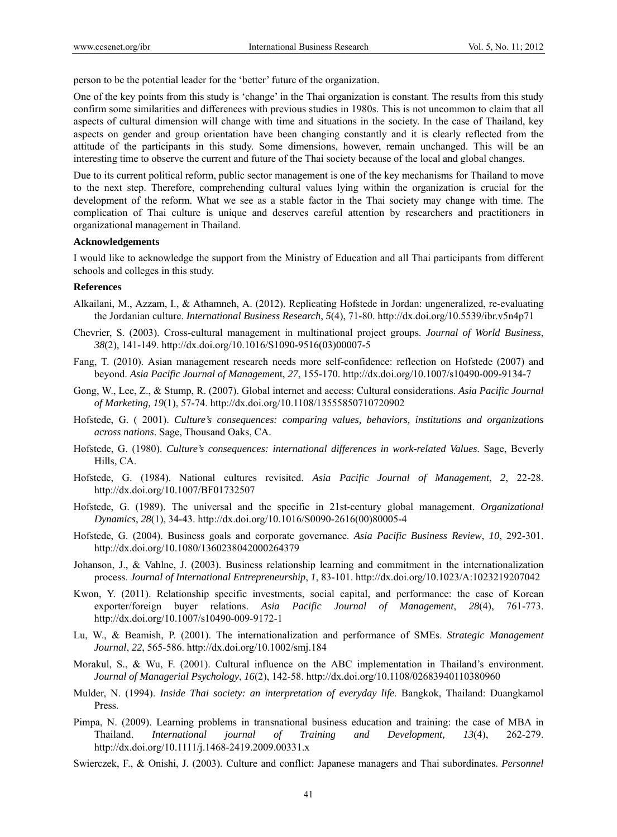person to be the potential leader for the 'better' future of the organization.

One of the key points from this study is 'change' in the Thai organization is constant. The results from this study confirm some similarities and differences with previous studies in 1980s. This is not uncommon to claim that all aspects of cultural dimension will change with time and situations in the society. In the case of Thailand, key aspects on gender and group orientation have been changing constantly and it is clearly reflected from the attitude of the participants in this study. Some dimensions, however, remain unchanged. This will be an interesting time to observe the current and future of the Thai society because of the local and global changes.

Due to its current political reform, public sector management is one of the key mechanisms for Thailand to move to the next step. Therefore, comprehending cultural values lying within the organization is crucial for the development of the reform. What we see as a stable factor in the Thai society may change with time. The complication of Thai culture is unique and deserves careful attention by researchers and practitioners in organizational management in Thailand.

#### **Acknowledgements**

I would like to acknowledge the support from the Ministry of Education and all Thai participants from different schools and colleges in this study.

#### **References**

- Alkailani, M., Azzam, I., & Athamneh, A. (2012). Replicating Hofstede in Jordan: ungeneralized, re-evaluating the Jordanian culture. *International Business Research*, *5*(4), 71-80. http://dx.doi.org/10.5539/ibr.v5n4p71
- Chevrier, S. (2003). Cross-cultural management in multinational project groups. *Journal of World Business*, *38*(2), 141-149. http://dx.doi.org/10.1016/S1090-9516(03)00007-5
- Fang, T. (2010). Asian management research needs more self-confidence: reflection on Hofstede (2007) and beyond. *Asia Pacific Journal of Managemen*t, *27*, 155-170. http://dx.doi.org/10.1007/s10490-009-9134-7
- Gong, W., Lee, Z., & Stump, R. (2007). Global internet and access: Cultural considerations. *Asia Pacific Journal of Marketing, 19*(1), 57-74. http://dx.doi.org/10.1108/13555850710720902
- Hofstede, G. ( 2001). *Culture's consequences: comparing values, behaviors, institutions and organizations across nations*. Sage, Thousand Oaks, CA.
- Hofstede, G. (1980). *Culture's consequences: international differences in work-related Values*. Sage, Beverly Hills, CA.
- Hofstede, G. (1984). National cultures revisited. *Asia Pacific Journal of Management*, *2*, 22-28. http://dx.doi.org/10.1007/BF01732507
- Hofstede, G. (1989). The universal and the specific in 21st-century global management. *Organizational Dynamics*, *28*(1), 34-43. http://dx.doi.org/10.1016/S0090-2616(00)80005-4
- Hofstede, G. (2004). Business goals and corporate governance. *Asia Pacific Business Review*, *10*, 292-301. http://dx.doi.org/10.1080/1360238042000264379
- Johanson, J., & Vahlne, J. (2003). Business relationship learning and commitment in the internationalization process. *Journal of International Entrepreneurship*, *1*, 83-101. http://dx.doi.org/10.1023/A:1023219207042
- Kwon, Y. (2011). Relationship specific investments, social capital, and performance: the case of Korean exporter/foreign buyer relations. *Asia Pacific Journal of Management*, *28*(4), 761-773. http://dx.doi.org/10.1007/s10490-009-9172-1
- Lu, W., & Beamish, P. (2001). The internationalization and performance of SMEs. *Strategic Management Journal*, *22*, 565-586. http://dx.doi.org/10.1002/smj.184
- Morakul, S., & Wu, F. (2001). Cultural influence on the ABC implementation in Thailand's environment. *Journal of Managerial Psychology*, *16*(2), 142-58. http://dx.doi.org/10.1108/02683940110380960
- Mulder, N. (1994). *Inside Thai society: an interpretation of everyday life*. Bangkok, Thailand: Duangkamol Press.
- Pimpa, N. (2009). Learning problems in transnational business education and training: the case of MBA in Thailand. *International journal of Training and Development, 13*(4), 262-279. http://dx.doi.org/10.1111/j.1468-2419.2009.00331.x
- Swierczek, F., & Onishi, J. (2003). Culture and conflict: Japanese managers and Thai subordinates. *Personnel*